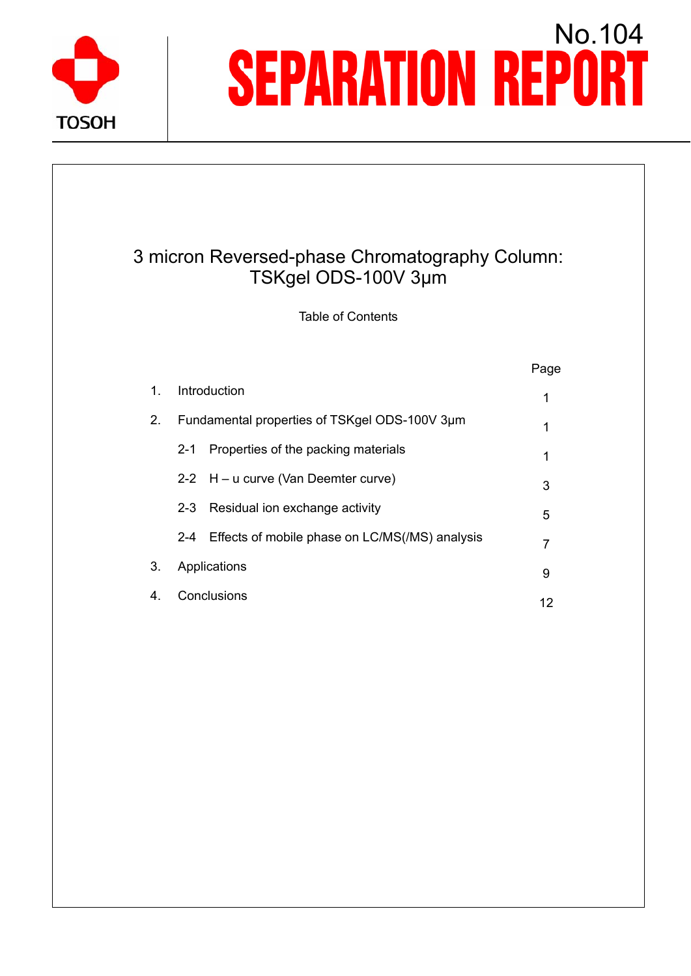

# **SEPARATION REPORT**

# 3 micron Reversed-phase Chromatography Column: TSKgel ODS-100V 3µm

Table of Contents

| $\mathbf{1}$ . |                                               | Introduction                                   |   |  |  |
|----------------|-----------------------------------------------|------------------------------------------------|---|--|--|
| 2.             | Fundamental properties of TSKgel ODS-100V 3um |                                                |   |  |  |
|                | $2 - 1$                                       | Properties of the packing materials            |   |  |  |
|                |                                               | 2-2 $H - u$ curve (Van Deemter curve)          | 3 |  |  |
|                | $2 - 3$                                       | Residual ion exchange activity                 | 5 |  |  |
|                | $2 - 4$                                       | Effects of mobile phase on LC/MS(/MS) analysis |   |  |  |
| 3.             | Applications<br>9                             |                                                |   |  |  |
|                | Conclusions                                   |                                                |   |  |  |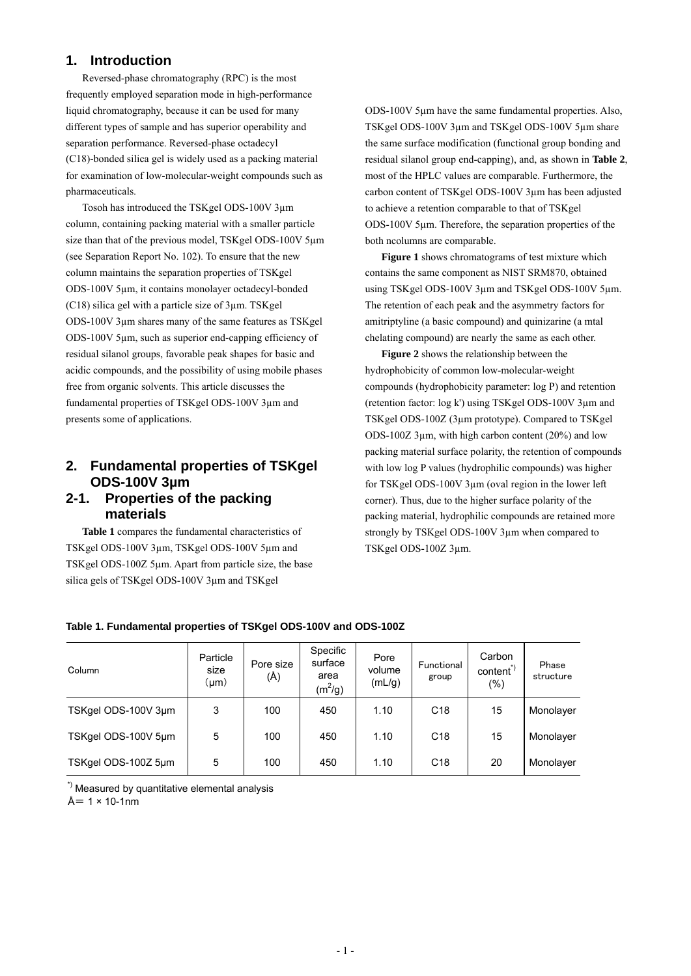### **1. Introduction**

Reversed-phase chromatography (RPC) is the most frequently employed separation mode in high-performance liquid chromatography, because it can be used for many different types of sample and has superior operability and separation performance. Reversed-phase octadecyl (C18)-bonded silica gel is widely used as a packing material for examination of low-molecular-weight compounds such as pharmaceuticals.

Tosoh has introduced the TSKgel ODS-100V 3µm column, containing packing material with a smaller particle size than that of the previous model, TSKgel ODS-100V 5µm (see Separation Report No. 102). To ensure that the new column maintains the separation properties of TSKgel ODS-100V 5µm, it contains monolayer octadecyl-bonded (C18) silica gel with a particle size of 3µm. TSKgel ODS-100V 3µm shares many of the same features as TSKgel ODS-100V 5µm, such as superior end-capping efficiency of residual silanol groups, favorable peak shapes for basic and acidic compounds, and the possibility of using mobile phases free from organic solvents. This article discusses the fundamental properties of TSKgel ODS-100V 3µm and presents some of applications.

# **2. Fundamental properties of TSKgel ODS-100V 3µm**

# **2-1. Properties of the packing materials**

**Table 1** compares the fundamental characteristics of TSKgel ODS-100V 3µm, TSKgel ODS-100V 5µm and TSKgel ODS-100Z 5µm. Apart from particle size, the base silica gels of TSKgel ODS-100V 3µm and TSKgel

ODS-100V 5µm have the same fundamental properties. Also, TSKgel ODS-100V 3µm and TSKgel ODS-100V 5µm share the same surface modification (functional group bonding and residual silanol group end-capping), and, as shown in **Table 2**, most of the HPLC values are comparable. Furthermore, the carbon content of TSKgel ODS-100V 3µm has been adjusted to achieve a retention comparable to that of TSKgel ODS-100V 5µm. Therefore, the separation properties of the both ncolumns are comparable.

**Figure 1** shows chromatograms of test mixture which contains the same component as NIST SRM870, obtained using TSKgel ODS-100V 3µm and TSKgel ODS-100V 5µm. The retention of each peak and the asymmetry factors for amitriptyline (a basic compound) and quinizarine (a mtal chelating compound) are nearly the same as each other.

**Figure 2** shows the relationship between the hydrophobicity of common low-molecular-weight compounds (hydrophobicity parameter: log P) and retention (retention factor: log k') using TSKgel ODS-100V 3µm and TSKgel ODS-100Z (3µm prototype). Compared to TSKgel ODS-100Z 3µm, with high carbon content (20%) and low packing material surface polarity, the retention of compounds with low log P values (hydrophilic compounds) was higher for TSKgel ODS-100V 3µm (oval region in the lower left corner). Thus, due to the higher surface polarity of the packing material, hydrophilic compounds are retained more strongly by TSKgel ODS-100V 3µm when compared to TSKgel ODS-100Z 3µm.

| Column              | Particle<br>size<br>um) | Pore size<br>(Å) | Specific<br>surface<br>area<br>$(m^2/g)$ | Pore<br>volume<br>(mL/g) | Functional<br>group | Carbon<br>content<br>(%) | Phase<br>structure |
|---------------------|-------------------------|------------------|------------------------------------------|--------------------------|---------------------|--------------------------|--------------------|
| TSKgel ODS-100V 3µm | ∘                       | 100              | 450                                      | 1.10                     | C <sub>18</sub>     | 15                       | Monolayer          |

TSKgel ODS-100V 5μm 5 100 450 1.10 C18 15 Monolayer

TSKgel ODS-100Z 5μm 5 100 450 1.10 C18 20 Monolayer

#### **Table 1. Fundamental properties of TSKgel ODS-100V and ODS-100Z**

\*) Measured by quantitative elemental analysis

 $A = 1 \times 10 - 1$ nm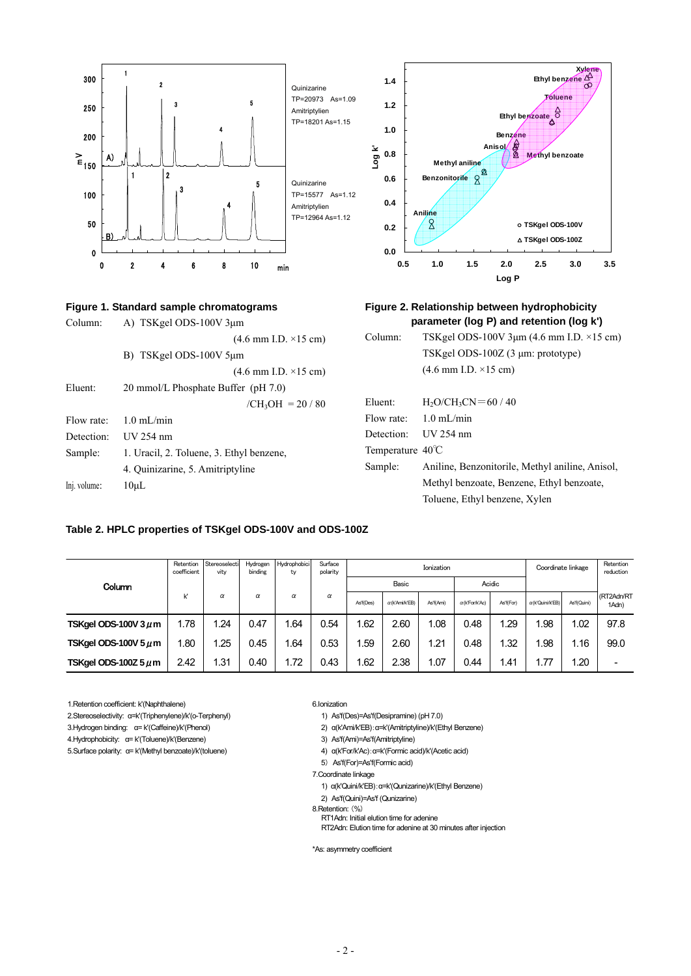

Toluene, Ethyl benzene, Xylen

#### **Table 2. HPLC properties of TSKgel ODS-100V and ODS-100Z**

|                           | Retention<br>coefficient | Stereoselecti<br>vitv | Hydrogen<br>binding | Hydrophobici<br>ty | Surface<br>polarity |           |                       | Ionization |                       |           |                         | Coordinate linkage | Retention<br>reduction |
|---------------------------|--------------------------|-----------------------|---------------------|--------------------|---------------------|-----------|-----------------------|------------|-----------------------|-----------|-------------------------|--------------------|------------------------|
| Column                    |                          |                       |                     |                    |                     |           | Basic                 |            |                       | Acidic    |                         |                    |                        |
|                           | v                        | $\alpha$              | α                   | α                  | $\alpha$            | As'f(Des) | $\alpha$ (k'Ami/k'EB) | As'f(Ami)  | $\alpha$ (k'For/k'Ac) | As'f(For) | $\alpha$ (k'Quini/k'EB) | As'f(Quini)        | (RT2Adn/RT<br>1Adn)    |
| TSKgel ODS-100V $3 \mu$ m | 1.78                     | 1.24                  | 0.47                | .64                | 0.54                | .62       | 2.60                  | 1.08       | 0.48                  | 1.29      | .98                     | 1.02               | 97.8                   |
| TSKgel ODS-100V $5 \mu$ m | .80                      | 1.25                  | 0.45                | .64                | 0.53                | .59       | 2.60                  | 1.21       | 0.48                  | 1.32      | .98                     | 1.16               | 99.0                   |
| TSKgel ODS-100Z $5 \mu$ m | 2.42                     | 1.31                  | 0.40                | 1.72               | 0.43                | .62       | 2.38                  | 1.07       | 0.44                  | 1.41      | .77                     | 1.20               | -                      |

1.Retention coefficient: k'(Naphthalene) 6.Ionization

2.Stereoselectivity: α=k'(Triphenylene)/k'(o-Terphenyl) 1) As'f(Des)=As'f(Desipramine) (pH 7.0)

4.Hydrophobicity: α= k'(Toluene)/k'(Benzene) 3) As'f(Ami)=As'f(Amitriptyline)

5.Surface polarity: α= k'(Methyl benzoate)/k'(toluene) 4) α(k'For/k'Ac):α=k'(Formic acid)/k'(Acetic acid)

3.Hydrogen binding: α= k'(Caffeine)/k'(Phenol) 2) α(k'Ami/k'EB):α=k'(Amitriptyline)/k'(Ethyl Benzene)

- 
- 5) As'f(For)=As'f(Formic acid)

7.Coordinate linkage

1) α(k'Quini/k'EB):α=k'(Qunizarine)/k'(Ethyl Benzene)

2) As'f(Quini)=As'f (Qunizarine)

8.Retention: (%)

RT1Adn: Initial elution time for adenine

RT2Adn: Elution time for adenine at 30 minutes after injection

\*As: asymmetry coefficient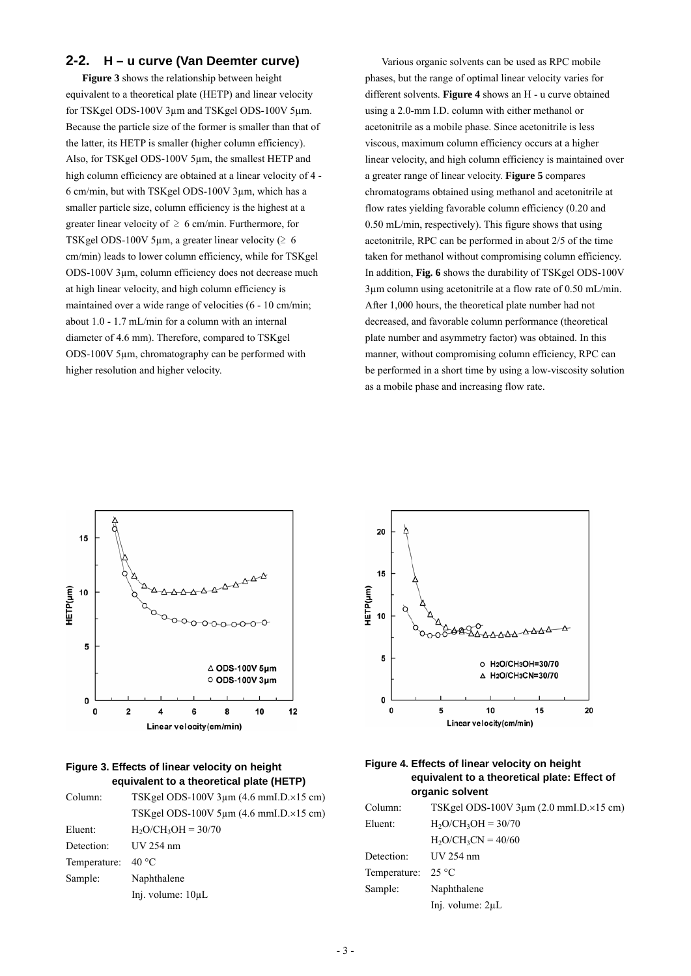#### **2-2. H – u curve (Van Deemter curve)**

**Figure 3** shows the relationship between height equivalent to a theoretical plate (HETP) and linear velocity for TSKgel ODS-100V 3µm and TSKgel ODS-100V 5µm. Because the particle size of the former is smaller than that of the latter, its HETP is smaller (higher column efficiency). Also, for TSKgel ODS-100V 5µm, the smallest HETP and high column efficiency are obtained at a linear velocity of 4 - 6 cm/min, but with TSKgel ODS-100V 3µm, which has a smaller particle size, column efficiency is the highest at a greater linear velocity of  $\geq 6$  cm/min. Furthermore, for TSKgel ODS-100V 5µm, a greater linear velocity ( $\geq 6$ ) cm/min) leads to lower column efficiency, while for TSKgel ODS-100V 3µm, column efficiency does not decrease much at high linear velocity, and high column efficiency is maintained over a wide range of velocities (6 - 10 cm/min; about 1.0 - 1.7 mL/min for a column with an internal diameter of 4.6 mm). Therefore, compared to TSKgel ODS-100V 5µm, chromatography can be performed with higher resolution and higher velocity.

Various organic solvents can be used as RPC mobile phases, but the range of optimal linear velocity varies for different solvents. **Figure 4** shows an H - u curve obtained using a 2.0-mm I.D. column with either methanol or acetonitrile as a mobile phase. Since acetonitrile is less viscous, maximum column efficiency occurs at a higher linear velocity, and high column efficiency is maintained over a greater range of linear velocity. **Figure 5** compares chromatograms obtained using methanol and acetonitrile at flow rates yielding favorable column efficiency (0.20 and 0.50 mL/min, respectively). This figure shows that using acetonitrile, RPC can be performed in about 2/5 of the time taken for methanol without compromising column efficiency. In addition, **Fig. 6** shows the durability of TSKgel ODS-100V 3µm column using acetonitrile at a flow rate of 0.50 mL/min. After 1,000 hours, the theoretical plate number had not decreased, and favorable column performance (theoretical plate number and asymmetry factor) was obtained. In this manner, without compromising column efficiency, RPC can be performed in a short time by using a low-viscosity solution as a mobile phase and increasing flow rate.



**Figure 3. Effects of linear velocity on height equivalent to a theoretical plate (HETP)** 

| Column:      | TSKgel ODS-100V $3\mu$ m (4.6 mmI.D. $\times$ 15 cm)  |
|--------------|-------------------------------------------------------|
|              | TSKgel ODS-100V 5 $\mu$ m (4.6 mmI.D. $\times$ 15 cm) |
| Eluent:      | $H_2O/CH_3OH = 30/70$                                 |
| Detection:   | <b>UV 254 nm</b>                                      |
| Temperature: | 40 °C                                                 |
| Sample:      | Naphthalene                                           |
|              | Inj. volume: $10\mu L$                                |





| Column:                     | TSKgel ODS-100V $3\mu$ m (2.0 mmI.D. $\times$ 15 cm) |
|-----------------------------|------------------------------------------------------|
| Eluent:                     | $H_2O/CH_3OH = 30/70$                                |
|                             | $H_2O/CH_3CN = 40/60$                                |
| Detection:                  | UV 254 nm                                            |
| Temperature: $25^{\circ}$ C |                                                      |
| Sample:                     | Naphthalene                                          |
|                             | Inj. volume: $2\mu L$                                |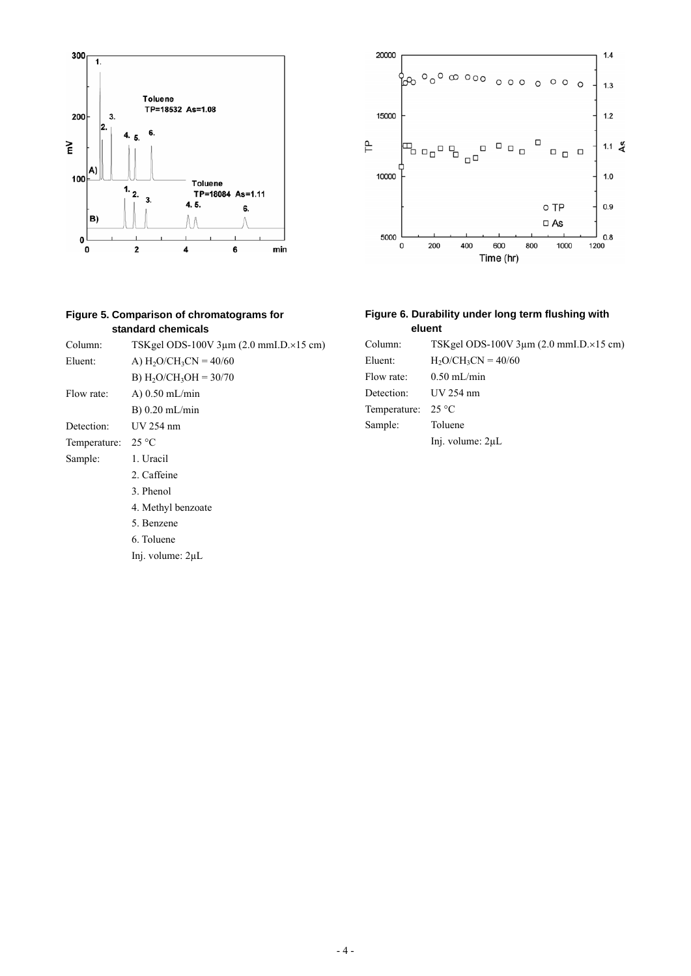



# **Figure 5. Comparison of chromatograms for standard chemicals**

| Column:      | TSKgel ODS-100V $3\mu$ m (2.0 mmI.D. $\times$ 15 cm) |
|--------------|------------------------------------------------------|
| Eluent:      | A) $H_2O/CH_3CN = 40/60$                             |
|              | B) $H_2O/CH_3OH = 30/70$                             |
| Flow rate:   | $A)$ 0.50 mL/min                                     |
|              | $B)$ 0.20 mL/min                                     |
| Detection:   | UV 254 nm                                            |
| Temperature: | $25^{\circ}$ C                                       |
| Sample:      | 1. Uracil                                            |
|              | 2. Caffeine                                          |
|              | 3. Phenol                                            |
|              | 4. Methyl benzoate                                   |
|              | 5. Benzene                                           |
|              | 6. Toluene                                           |

Inj. volume: 2µL

#### **Figure 6. Durability under long term flushing with eluent**

| Column:      | TSKgel ODS-100V $3\mu$ m (2.0 mmI.D. $\times$ 15 cm) |
|--------------|------------------------------------------------------|
| Eluent:      | $H_2O/CH_3CN = 40/60$                                |
| Flow rate:   | $0.50$ mL/min                                        |
| Detection:   | $UV$ 254 nm                                          |
| Temperature: | $25^{\circ}$ C                                       |
| Sample:      | Toluene                                              |
|              | Inj. volume: $2\mu L$                                |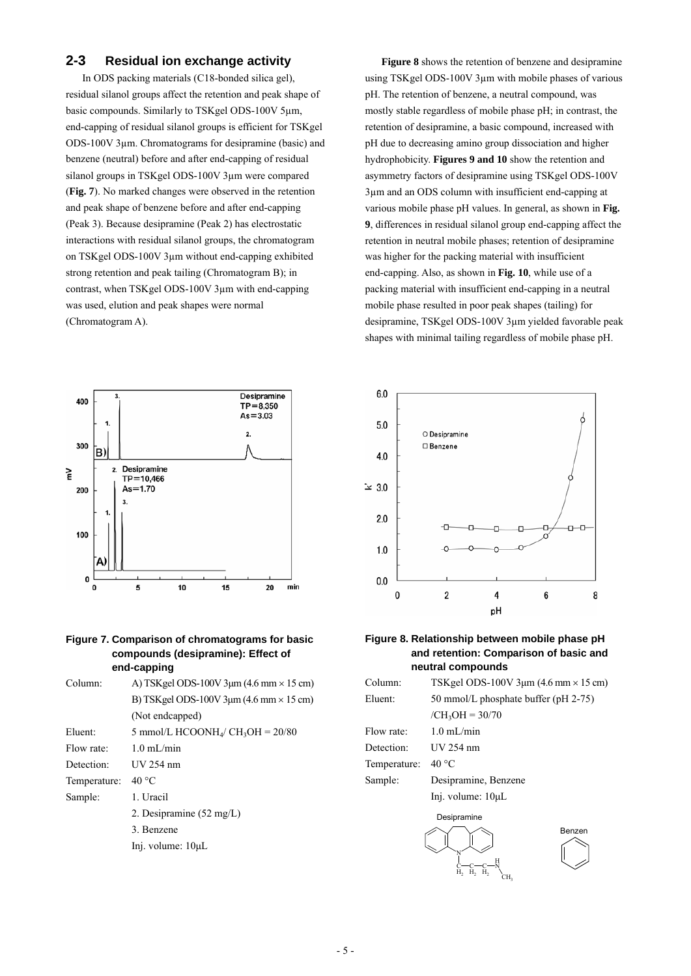## **2-3 Residual ion exchange activity**

In ODS packing materials (C18-bonded silica gel), residual silanol groups affect the retention and peak shape of basic compounds. Similarly to TSKgel ODS-100V 5µm, end-capping of residual silanol groups is efficient for TSKgel ODS-100V 3µm. Chromatograms for desipramine (basic) and benzene (neutral) before and after end-capping of residual silanol groups in TSKgel ODS-100V 3µm were compared (**Fig. 7**). No marked changes were observed in the retention and peak shape of benzene before and after end-capping (Peak 3). Because desipramine (Peak 2) has electrostatic interactions with residual silanol groups, the chromatogram on TSKgel ODS-100V 3µm without end-capping exhibited strong retention and peak tailing (Chromatogram B); in contrast, when TSKgel ODS-100V 3µm with end-capping was used, elution and peak shapes were normal (Chromatogram A).



#### **Figure 7. Comparison of chromatograms for basic compounds (desipramine): Effect of end-capping**

| Column:      | A) TSK gel ODS-100V $3\mu$ m (4.6 mm $\times$ 15 cm)        |  |  |  |  |
|--------------|-------------------------------------------------------------|--|--|--|--|
|              | B) TSK gel ODS-100V $3\mu$ m (4.6 mm $\times$ 15 cm)        |  |  |  |  |
|              | (Not endcapped)                                             |  |  |  |  |
| Eluent:      | 5 mmol/L HCOONH <sub>4</sub> / CH <sub>3</sub> OH = $20/80$ |  |  |  |  |
| Flow rate:   | $1.0 \text{ mL/min}$                                        |  |  |  |  |
| Detection:   | UV 254 nm                                                   |  |  |  |  |
| Temperature: | $40^{\circ}$ C                                              |  |  |  |  |
| Sample:      | 1. Uracil                                                   |  |  |  |  |
|              | 2. Desipramine $(52 \text{ mg/L})$                          |  |  |  |  |
|              | 3. Benzene                                                  |  |  |  |  |
|              | Inj. volume: 10µL                                           |  |  |  |  |

**Figure 8** shows the retention of benzene and desipramine using TSKgel ODS-100V 3µm with mobile phases of various pH. The retention of benzene, a neutral compound, was mostly stable regardless of mobile phase pH; in contrast, the retention of desipramine, a basic compound, increased with pH due to decreasing amino group dissociation and higher hydrophobicity. **Figures 9 and 10** show the retention and asymmetry factors of desipramine using TSKgel ODS-100V 3µm and an ODS column with insufficient end-capping at various mobile phase pH values. In general, as shown in **Fig. 9**, differences in residual silanol group end-capping affect the retention in neutral mobile phases; retention of desipramine was higher for the packing material with insufficient end-capping. Also, as shown in **Fig. 10**, while use of a packing material with insufficient end-capping in a neutral mobile phase resulted in poor peak shapes (tailing) for desipramine, TSKgel ODS-100V 3µm yielded favorable peak shapes with minimal tailing regardless of mobile phase pH.



#### **Figure 8. Relationship between mobile phase pH and retention: Comparison of basic and neutral compounds**

| Column:      | TSK gel ODS-100V $3\mu$ m (4.6 mm $\times$ 15 cm) |        |  |  |  |
|--------------|---------------------------------------------------|--------|--|--|--|
| Eluent:      | 50 mmol/L phosphate buffer (pH 2-75)              |        |  |  |  |
|              | $/CH_3OH = 30/70$                                 |        |  |  |  |
| Flow rate:   | $1.0 \text{ mL/min}$                              |        |  |  |  |
| Detection:   | $UV$ 254 nm                                       |        |  |  |  |
| Temperature: | $40^{\circ}$ C                                    |        |  |  |  |
| Sample:      | Desipramine, Benzene                              |        |  |  |  |
|              | Inj. volume: 10µL                                 |        |  |  |  |
|              | Desipramine                                       |        |  |  |  |
|              |                                                   | Benzen |  |  |  |

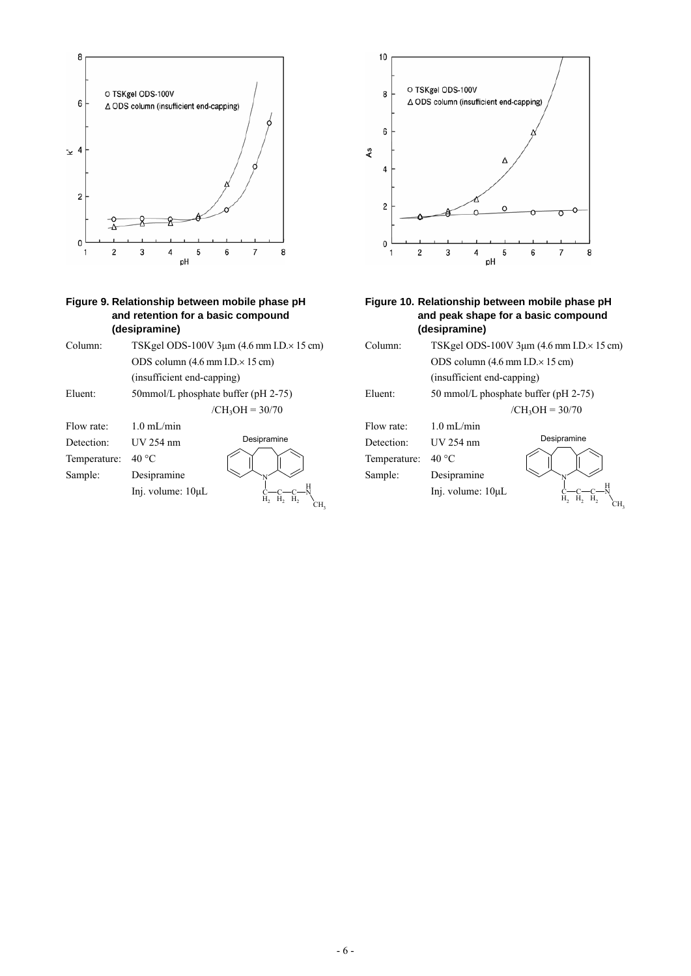

#### **Figure 9. Relationship between mobile phase pH and retention for a basic compound (desipramine)**

Column: TSKgel ODS-100V 3μm (4.6 mm I.D.× 15 cm) ODS column (4.6 mm I.D.× 15 cm) (insufficient end-capping) Eluent: 50mmol/L phosphate buffer (pH 2-75)  $/CH_3OH = 30/70$ Flow rate: 1.0 mL/min

Detection: UV 254 nm Temperature: 40 °C Sample: Desipramine Inj. volume: 10μL





#### **Figure 10. Relationship between mobile phase pH and peak shape for a basic compound (desipramine)**

| $4.6$ mm I.D. $\times$ 15 cm) | Column:      |                                                          | TSK gel ODS-100V $3\mu$ m (4.6 mm I.D. $\times$ 15 cm) |
|-------------------------------|--------------|----------------------------------------------------------|--------------------------------------------------------|
| $(15 \text{ cm})$             |              | ODS column $(4.6 \text{ mm } I.D. \times 15 \text{ cm})$ |                                                        |
|                               |              | (insufficient end-capping)                               |                                                        |
| er (pH 2-75)                  | Eluent:      | 50 mmol/L phosphate buffer (pH 2-75)                     |                                                        |
| $H = 30/70$                   |              |                                                          | $/CH_3OH = 30/70$                                      |
|                               | Flow rate:   | $1.0$ mL/min                                             |                                                        |
| Desipramine                   | Detection:   | <b>UV 254 nm</b>                                         | Desipramine                                            |
|                               | Temperature: | $40^{\circ}$ C                                           |                                                        |
|                               | Sample:      | Desipramine                                              |                                                        |
| Н,<br>$\sim$ T T              |              | Inj. volume: $10\mu L$                                   | $\alpha$                                               |

CH<sub>3</sub>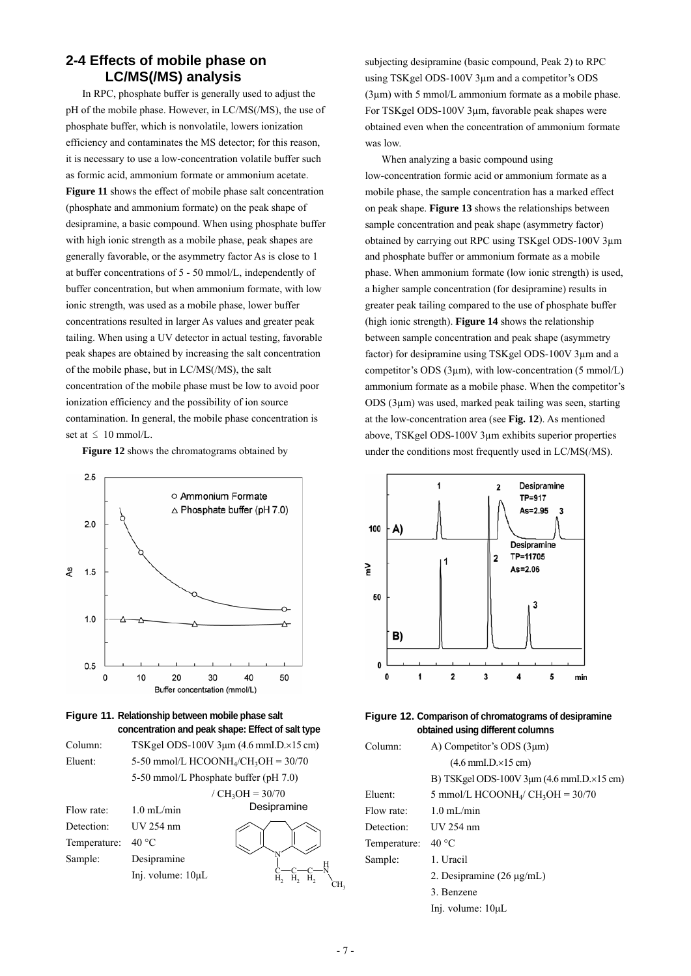# **2-4 Effects of mobile phase on LC/MS(/MS) analysis**

In RPC, phosphate buffer is generally used to adjust the pH of the mobile phase. However, in LC/MS(/MS), the use of phosphate buffer, which is nonvolatile, lowers ionization efficiency and contaminates the MS detector; for this reason, it is necessary to use a low-concentration volatile buffer such as formic acid, ammonium formate or ammonium acetate. **Figure 11** shows the effect of mobile phase salt concentration (phosphate and ammonium formate) on the peak shape of desipramine, a basic compound. When using phosphate buffer with high ionic strength as a mobile phase, peak shapes are generally favorable, or the asymmetry factor As is close to 1 at buffer concentrations of 5 - 50 mmol/L, independently of buffer concentration, but when ammonium formate, with low ionic strength, was used as a mobile phase, lower buffer concentrations resulted in larger As values and greater peak tailing. When using a UV detector in actual testing, favorable peak shapes are obtained by increasing the salt concentration of the mobile phase, but in LC/MS(/MS), the salt concentration of the mobile phase must be low to avoid poor ionization efficiency and the possibility of ion source contamination. In general, the mobile phase concentration is set at  $\leq 10$  mmol/L.

**Figure 12** shows the chromatograms obtained by







subjecting desipramine (basic compound, Peak 2) to RPC using TSKgel ODS-100V 3µm and a competitor's ODS (3µm) with 5 mmol/L ammonium formate as a mobile phase. For TSKgel ODS-100V 3µm, favorable peak shapes were obtained even when the concentration of ammonium formate was low.

When analyzing a basic compound using low-concentration formic acid or ammonium formate as a mobile phase, the sample concentration has a marked effect on peak shape. **Figure 13** shows the relationships between sample concentration and peak shape (asymmetry factor) obtained by carrying out RPC using TSKgel ODS-100V 3µm and phosphate buffer or ammonium formate as a mobile phase. When ammonium formate (low ionic strength) is used, a higher sample concentration (for desipramine) results in greater peak tailing compared to the use of phosphate buffer (high ionic strength). **Figure 14** shows the relationship between sample concentration and peak shape (asymmetry factor) for desipramine using TSKgel ODS-100V 3µm and a competitor's ODS (3µm), with low-concentration (5 mmol/L) ammonium formate as a mobile phase. When the competitor's ODS (3µm) was used, marked peak tailing was seen, starting at the low-concentration area (see **Fig. 12**). As mentioned above, TSKgel ODS-100V 3µm exhibits superior properties under the conditions most frequently used in LC/MS(/MS).



#### **Figure 12. Comparison of chromatograms of desipramine obtained using different columns**

| Column:      | A) Competitor's ODS $(3\mu m)$                              |  |  |  |
|--------------|-------------------------------------------------------------|--|--|--|
|              | $(4.6 \text{ mmI.D.} \times 15 \text{ cm})$                 |  |  |  |
|              | B) TSKgel ODS-100V $3\mu$ m (4.6 mmI.D. $\times$ 15 cm)     |  |  |  |
| Eluent:      | 5 mmol/L HCOONH <sub>4</sub> / CH <sub>3</sub> OH = $30/70$ |  |  |  |
| Flow rate:   | $1.0 \text{ mL/min}$                                        |  |  |  |
| Detection:   | UV 254 nm                                                   |  |  |  |
| Temperature: | $40^{\circ}$ C                                              |  |  |  |
| Sample:      | 1. Uracil                                                   |  |  |  |
|              | 2. Desipramine $(26 \mu g/mL)$                              |  |  |  |
|              | 3. Benzene                                                  |  |  |  |
|              | Inj. volume: 10µL                                           |  |  |  |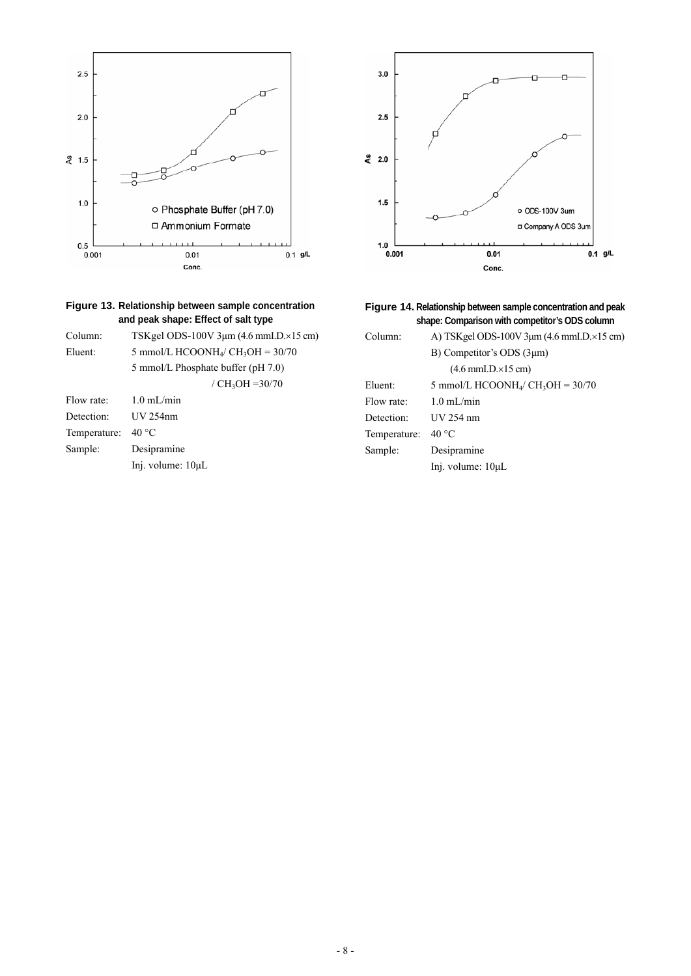

| 3.0             |                        |                                       |           |
|-----------------|------------------------|---------------------------------------|-----------|
| 2.5             |                        |                                       |           |
| $rac{8}{5}$ 2.0 |                        |                                       |           |
| $1.5$           |                        | o ODS-100V 3um<br>□ Company A ODS 3um |           |
| $1.0$           | 0.001<br>0.01<br>Conc. |                                       | $0.1$ g/L |

|              | Figure 13. Relationship between sample concentration<br>and peak shape: Effect of salt type |
|--------------|---------------------------------------------------------------------------------------------|
| Column:      | TSK gel ODS-100V $3\mu$ m (4.6 mmI.D. $\times$ 15 cm)                                       |
| Eluent:      | 5 mmol/L HCOONH <sub>4</sub> / CH <sub>3</sub> OH = $30/70$                                 |
|              | 5 mmol/L Phosphate buffer (pH 7.0)                                                          |
|              | / $CH_3OH = 30/70$                                                                          |
| Flow rate:   | $1.0 \text{ mL/min}$                                                                        |
| Detection:   | $UV$ 254 $nm$                                                                               |
| Temperature: | 40 °C                                                                                       |
| Sample:      | Desipramine                                                                                 |

Inj. volume: 10μL

| Figure 14. Relationship between sample concentration and peak |                                                |
|---------------------------------------------------------------|------------------------------------------------|
|                                                               | shape: Comparison with competitor's ODS column |

| Column:      | A) TSK gel ODS-100V $3\mu$ m (4.6 mmI.D. $\times$ 15 cm)    |
|--------------|-------------------------------------------------------------|
|              | B) Competitor's ODS $(3\mu m)$                              |
|              | $(4.6 \text{ mmI.D.} \times 15 \text{ cm})$                 |
| Eluent:      | 5 mmol/L HCOONH <sub>4</sub> / CH <sub>3</sub> OH = $30/70$ |
| Flow rate:   | $1.0 \text{ mL/min}$                                        |
| Detection:   | UV 254 nm                                                   |
| Temperature: | $40^{\circ}$ C                                              |
| Sample:      | Desipramine                                                 |
|              | Inj. volume: 10µL                                           |
|              |                                                             |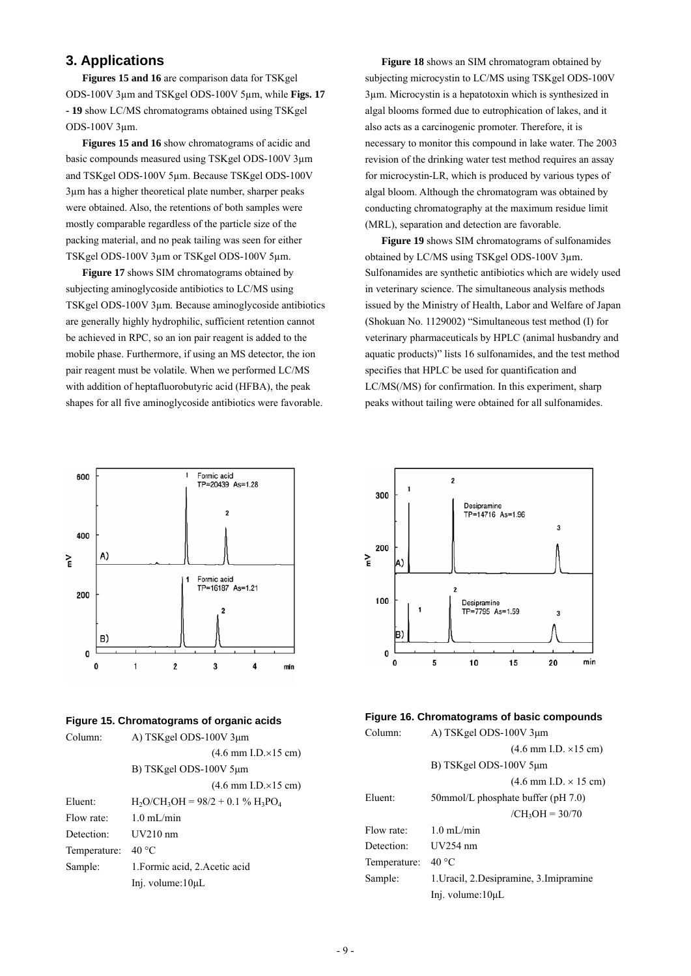# **3. Applications**

**Figures 15 and 16** are comparison data for TSKgel ODS-100V 3µm and TSKgel ODS-100V 5µm, while **Figs. 17 - 19** show LC/MS chromatograms obtained using TSKgel ODS-100V 3µm.

**Figures 15 and 16** show chromatograms of acidic and basic compounds measured using TSKgel ODS-100V 3µm and TSKgel ODS-100V 5µm. Because TSKgel ODS-100V 3µm has a higher theoretical plate number, sharper peaks were obtained. Also, the retentions of both samples were mostly comparable regardless of the particle size of the packing material, and no peak tailing was seen for either TSKgel ODS-100V 3µm or TSKgel ODS-100V 5µm.

**Figure 17** shows SIM chromatograms obtained by subjecting aminoglycoside antibiotics to LC/MS using TSKgel ODS-100V 3µm. Because aminoglycoside antibiotics are generally highly hydrophilic, sufficient retention cannot be achieved in RPC, so an ion pair reagent is added to the mobile phase. Furthermore, if using an MS detector, the ion pair reagent must be volatile. When we performed LC/MS with addition of heptafluorobutyric acid (HFBA), the peak shapes for all five aminoglycoside antibiotics were favorable.



#### **Figure 15. Chromatograms of organic acids**

| Column:      | A) TSKgel ODS-100V 3µm                        |
|--------------|-----------------------------------------------|
|              | $(4.6$ mm I.D. $\times$ 15 cm)                |
|              | B) TSKgel ODS-100V 5µm                        |
|              | $(4.6 \text{ mm } L.D. \times 15 \text{ cm})$ |
| Eluent:      | $H_2O/CH_3OH = 98/2 + 0.1 \% H_3PO_4$         |
| Flow rate:   | $1.0 \text{ mL/min}$                          |
| Detection:   | $UV210$ nm                                    |
| Temperature: | $40^{\circ}$ C                                |
| Sample:      | 1. Formic acid, 2. Acetic acid                |
|              | Inj. volume: $10\mu L$                        |

**Figure 18** shows an SIM chromatogram obtained by subjecting microcystin to LC/MS using TSKgel ODS-100V 3µm. Microcystin is a hepatotoxin which is synthesized in algal blooms formed due to eutrophication of lakes, and it also acts as a carcinogenic promoter. Therefore, it is necessary to monitor this compound in lake water. The 2003 revision of the drinking water test method requires an assay for microcystin-LR, which is produced by various types of algal bloom. Although the chromatogram was obtained by conducting chromatography at the maximum residue limit (MRL), separation and detection are favorable.

**Figure 19** shows SIM chromatograms of sulfonamides obtained by LC/MS using TSKgel ODS-100V 3µm. Sulfonamides are synthetic antibiotics which are widely used in veterinary science. The simultaneous analysis methods issued by the Ministry of Health, Labor and Welfare of Japan (Shokuan No. 1129002) "Simultaneous test method (I) for veterinary pharmaceuticals by HPLC (animal husbandry and aquatic products)" lists 16 sulfonamides, and the test method specifies that HPLC be used for quantification and LC/MS(/MS) for confirmation. In this experiment, sharp peaks without tailing were obtained for all sulfonamides.



#### **Figure 16. Chromatograms of basic compounds**

| Column:      | A) TSKgel ODS-100V 3µm                        |
|--------------|-----------------------------------------------|
|              | $(4.6 \text{ mm } I.D. \times 15 \text{ cm})$ |
|              | B) TSKgel ODS-100V 5µm                        |
|              | $(4.6 \text{ mm } I.D. \times 15 \text{ cm})$ |
| Eluent:      | 50mmol/L phosphate buffer $(pH 7.0)$          |
|              | $/CH_3OH = 30/70$                             |
| Flow rate:   | $1.0 \text{ mL/min}$                          |
| Detection:   | $UV254$ nm                                    |
| Temperature: | $40^{\circ}$ C                                |
| Sample:      | 1. Uracil, 2. Desipramine, 3. Imipramine      |
|              | Inj. volume: $10\mu L$                        |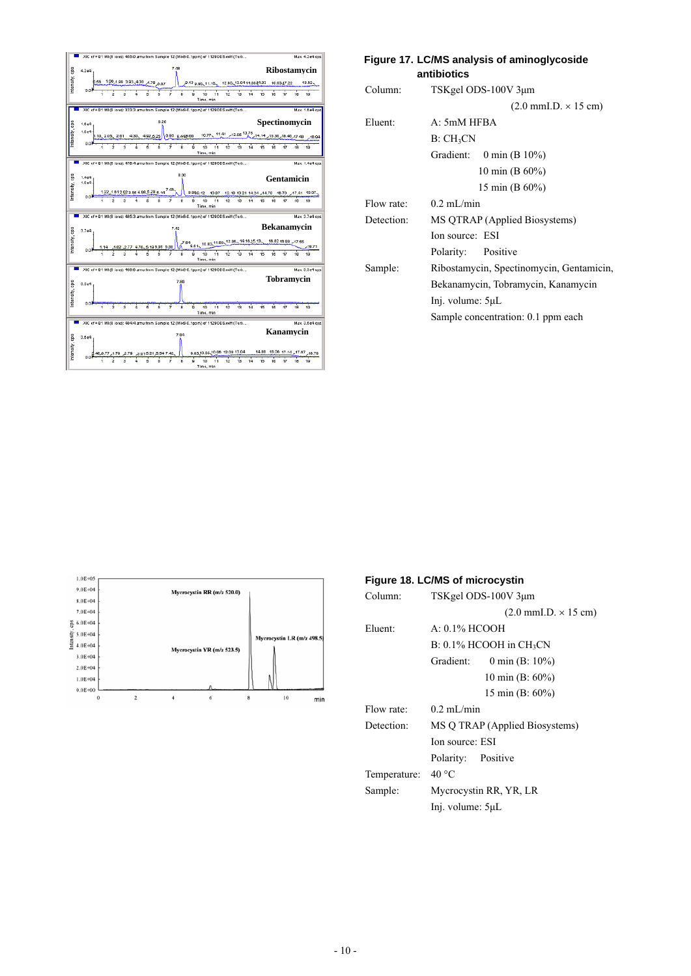|                |                                |                                                                                     |                     |  |      |               |      |          |       |                   |    |                                                                                     | XIC of +Q1 MI (8 ions): 465.0 amu from Sample 12 (MoB-0.1ppm) of 1129ODS.wiff (Turb |    |    |    |             |                    | Max. 4.2+4 eps.                                          |
|----------------|--------------------------------|-------------------------------------------------------------------------------------|---------------------|--|------|---------------|------|----------|-------|-------------------|----|-------------------------------------------------------------------------------------|-------------------------------------------------------------------------------------|----|----|----|-------------|--------------------|----------------------------------------------------------|
| Intensity, cps | 4.244                          |                                                                                     |                     |  |      |               | 7.48 |          |       |                   |    |                                                                                     |                                                                                     |    |    |    |             |                    | Ribostamycin                                             |
|                |                                |                                                                                     | 1.00 1.00 3.03 4.30 |  | A.78 |               |      |          |       | 8.13 p.gs. 11.10. |    | 12.83, 13.04 14, 6814.93                                                            |                                                                                     |    |    |    | 16.93.17.22 |                    | 19.62.                                                   |
|                | 0.0                            |                                                                                     |                     |  |      |               |      | ۰        | o     | 10<br>Time, min   | 11 | $\dot{12}$                                                                          | 13                                                                                  | 14 | 16 | 16 | 17          | 18                 | 19                                                       |
|                |                                | XIC of +Q1 MI (8 ions): 333.3 amu from Sample 12 (Mo8-0.1ppm) of 1129ODS.wiff (Turb |                     |  |      |               |      |          |       |                   |    |                                                                                     |                                                                                     |    |    |    |             |                    | Мах. 1.8 е4 орг                                          |
| ntensity, cps  | $1.8e$ 4<br>1.0 <sub>e</sub> 4 |                                                                                     |                     |  |      | 0.26          |      |          |       |                   |    |                                                                                     |                                                                                     |    |    |    |             | Spectinomycin      |                                                          |
|                | 0.0                            |                                                                                     |                     |  |      |               | 8.95 | 8.448.00 |       | $10.77 -$         |    | 11.41 12.05 13.75 14.14 15.30 10.40 17.49                                           |                                                                                     |    |    |    |             |                    |                                                          |
|                |                                |                                                                                     |                     |  |      |               |      |          | ٥     | 10<br>Time, min   | 11 | 12                                                                                  | 13                                                                                  | 14 | 15 | 16 | 17          | 18                 | 10                                                       |
|                |                                | XIC of +Q1 MI (8 ions): 478.4 amu from Sample 12 (MbB-0.1ppm) of 1120ODS.wiff (Turb |                     |  |      |               |      |          |       |                   |    |                                                                                     |                                                                                     |    |    |    |             |                    | Max. 1.4e4 ops.                                          |
| ntensity, cps  | 1.4e4<br>1.0e4                 |                                                                                     |                     |  |      |               |      | 8.00     |       |                   |    |                                                                                     |                                                                                     |    |    |    |             | Gentamicin         |                                                          |
|                | n n                            |                                                                                     |                     |  |      |               |      |          |       |                   |    |                                                                                     |                                                                                     |    |    |    |             |                    | 8.809.12 10.87 12.18 13.21 14.24 14.78 16.70 17.41 19.97 |
|                |                                |                                                                                     |                     |  |      |               |      | ń        | ó     | 10<br>Time, min   | 11 | 12                                                                                  | 13                                                                                  | 14 | 15 | 18 | 17          | 18                 | 19                                                       |
| п              |                                |                                                                                     |                     |  |      |               |      |          |       |                   |    |                                                                                     |                                                                                     |    |    |    |             |                    |                                                          |
|                |                                |                                                                                     |                     |  |      |               |      |          |       |                   |    | XIC of +D1 MI (8 ions): 485.3 amu from Sample 12 (MoB-0.1ppm) of 1129ODS.wiff (Turb |                                                                                     |    |    |    |             |                    | Max. 3.7 e4 eps.                                         |
|                | 3.744                          |                                                                                     |                     |  |      |               | 7.42 |          |       |                   |    |                                                                                     |                                                                                     |    |    |    |             | <b>Bekanamycin</b> |                                                          |
|                |                                |                                                                                     |                     |  |      | 5.195.95 6.88 |      | 7.84     | 9.61. |                   |    | 10.83 11.85 12.96 14.10.15.13                                                       |                                                                                     |    |    |    |             | 10.02 16.09 17.55  | $-18.71$                                                 |
| ntensity, cps  | 0.0                            |                                                                                     |                     |  |      |               |      | 8        | ó     | 10<br>Time, min   | 11 | 12                                                                                  | 13                                                                                  | 14 | 16 | 16 | 17          | 18                 | 10                                                       |
|                |                                | XIC of +Q1 MI (8 ions): 488.6 amu from Sample 12 (Mo8-0.1ppm) of 1129ODS.wiff (Turb |                     |  |      |               |      |          |       |                   |    |                                                                                     |                                                                                     |    |    |    |             |                    | Max. 3.3e4 ops                                           |
|                | $3.3 + 4$                      |                                                                                     |                     |  |      |               |      | 7.88     |       |                   |    |                                                                                     |                                                                                     |    |    |    |             | <b>Tobramycin</b>  |                                                          |
|                |                                |                                                                                     |                     |  |      |               |      |          |       |                   |    |                                                                                     |                                                                                     |    |    |    |             |                    |                                                          |
| ntensity, cps  | 0.0                            |                                                                                     |                     |  |      | n             | 7    | R        | ۰     | 10<br>Time, min   | 11 | 12                                                                                  | 13                                                                                  | 14 | 15 | 16 | 17          | 18                 | 10                                                       |
|                |                                | XIC of +Q1 MI (8 lons): 484.4 amu from Sample 12 (MbB-0.1ppm) of 1120ODS.wiff (Turb |                     |  |      |               |      |          |       |                   |    |                                                                                     |                                                                                     |    |    |    |             |                    | Max. 3.5e4 ops.                                          |
|                |                                |                                                                                     |                     |  |      |               |      | 7.84     |       |                   |    |                                                                                     |                                                                                     |    |    |    |             | Kanamycin          |                                                          |
|                | 3.0 <sub>e</sub>               |                                                                                     |                     |  |      |               |      |          |       |                   |    |                                                                                     |                                                                                     |    |    |    |             |                    |                                                          |
| ntensity, cps  | 0.0                            |                                                                                     |                     |  |      | 5.54 7.42     |      | Ř        | ó     | 10                | 11 | 9.83.10.65.10.90 12.03 13.04<br>12                                                  | 13                                                                                  | 14 | 15 | 10 | 17          | 18                 | 18.00 17.14 17.07 18.79<br>19                            |

| Figure 17. LC/MS analysis of aminoglycoside<br>antibiotics |                                             |  |  |  |  |
|------------------------------------------------------------|---------------------------------------------|--|--|--|--|
| Column:                                                    | TSKgel ODS-100V 3µm                         |  |  |  |  |
|                                                            | $(2.0 \text{ mmI.D.} \times 15 \text{ cm})$ |  |  |  |  |
| Eluent <sup>-</sup>                                        | A: 5mM HFBA                                 |  |  |  |  |
|                                                            | B:CH <sub>3</sub> CN                        |  |  |  |  |
|                                                            | Gradient: $0 \text{ min}$ (B 10%)           |  |  |  |  |
|                                                            | 10 min (B $60\%$ )                          |  |  |  |  |
|                                                            | 15 min (B 60%)                              |  |  |  |  |
| Flow rate:                                                 | $0.2$ mL/min                                |  |  |  |  |
| Detection:                                                 | MS QTRAP (Applied Biosystems)               |  |  |  |  |
|                                                            | Ion source: ESI                             |  |  |  |  |
|                                                            | Polarity: Positive                          |  |  |  |  |
| Sample:                                                    | Ribostamycin, Spectinomycin, Gentamicin,    |  |  |  |  |
|                                                            | Bekanamycin, Tobramycin, Kanamycin          |  |  |  |  |
|                                                            | Inj. volume: $5\mu L$                       |  |  |  |  |
|                                                            | Sample concentration: 0.1 ppm each          |  |  |  |  |
|                                                            |                                             |  |  |  |  |



### **Figure 18. LC/MS of microcystin**

| Column:      | TSKgel ODS-100V 3µm                              |
|--------------|--------------------------------------------------|
|              | $(2.0 \text{ mmI} \cdot D \times 15 \text{ cm})$ |
| Eluent:      | A: 0.1% HCOOH                                    |
|              | $B: 0.1\%$ HCOOH in CH <sub>3</sub> CN           |
|              | Gradient: $0 \text{ min (B: 10%)}$               |
|              | 10 min (B: $60\%$ )                              |
|              | 15 min (B: $60\%$ )                              |
| Flow rate:   | $0.2$ mL/min                                     |
| Detection:   | MS Q TRAP (Applied Biosystems)                   |
|              | Ion source: ESI                                  |
|              | Polarity: Positive                               |
| Temperature: | 40 °C                                            |
| Sample:      | Mycrocystin RR, YR, LR                           |
|              | Inj. volume: $5\mu L$                            |
|              |                                                  |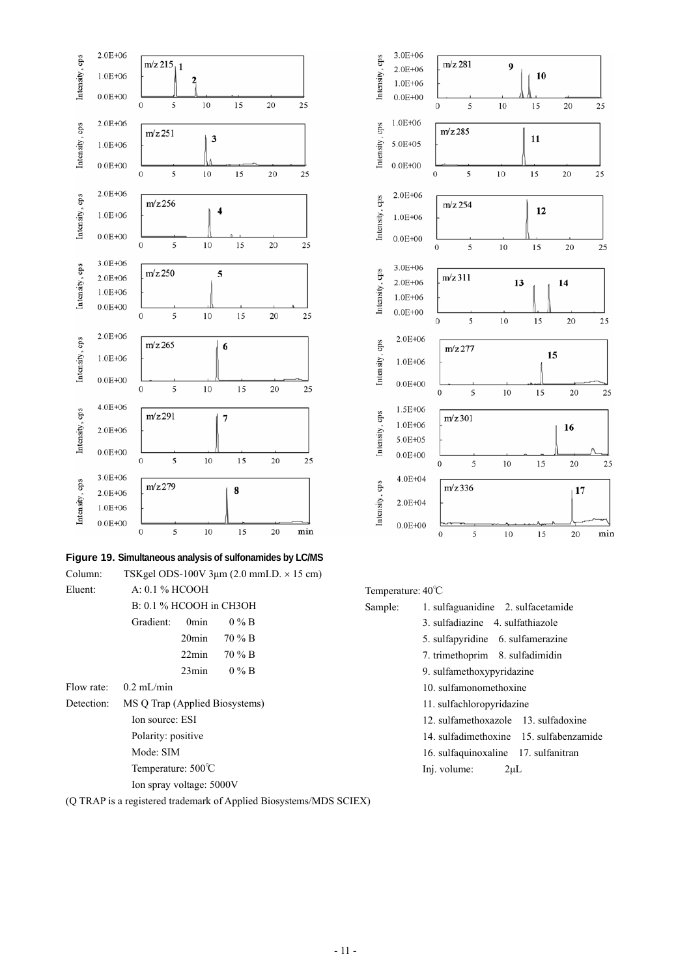

#### **Figure 19. Simultaneous analysis of sulfonamides by LC/MS**

Column: TSKgel ODS-100V 3 $\mu$ m (2.0 mmI.D.  $\times$  15 cm)

Eluent: A: 0.1 % HCOOH

| $A: 0.1 \% H(X)$ UH     |          |                       |
|-------------------------|----------|-----------------------|
| B: 0.1 % HCOOH in CH3OH |          |                       |
| Gradient: 0min          |          | $0\%$ B               |
|                         |          | $20\text{min}$ 70 % B |
|                         | $22$ min | $70\%$ B              |
|                         | 23min    | $0\%$ B               |
|                         |          |                       |

- Flow rate: 0.2 mL/min
- Detection: MS Q Trap (Applied Biosystems) Ion source: ESI Polarity: positive Mode: SIM Temperature: 500℃

Ion spray voltage: 5000V

(Q TRAP is a registered trademark of Applied Biosystems/MDS SCIEX)



| Temperature: 40°C |
|-------------------|
|-------------------|

| Sample: | 1. sulfaguanidine 2. sulfacetamide      |
|---------|-----------------------------------------|
|         | 3. sulfadiazine 4. sulfathiazole        |
|         | 5. sulfapyridine 6. sulfamerazine       |
|         | 7. trimethoprim 8. sulfadimidin         |
|         | 9. sulfamethoxypyridazine               |
|         | 10. sulfamonomethoxine                  |
|         | 11. sulfachloropyridazine               |
|         | 12. sulfamethoxazole 13. sulfadoxine    |
|         | 14. sulfadimethoxine 15. sulfabenzamide |
|         | 16. sulfaquinoxaline 17. sulfanitran    |
|         | Inj. volume: 2 <sub>µ</sub> L           |
|         |                                         |